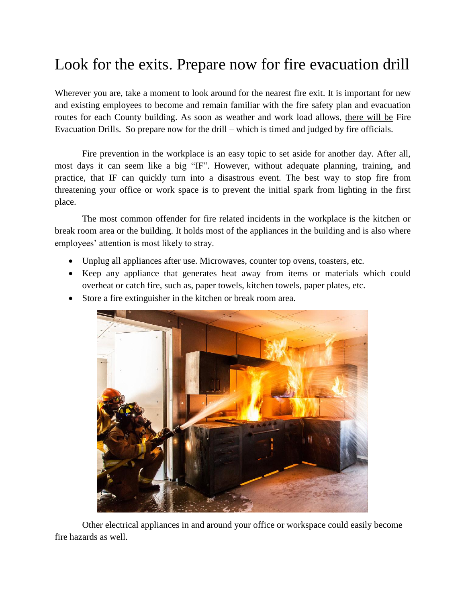## Look for the exits. Prepare now for fire evacuation drill

Wherever you are, take a moment to look around for the nearest fire exit. It is important for new and existing employees to become and remain familiar with the fire safety plan and evacuation routes for each County building. As soon as weather and work load allows, there will be Fire Evacuation Drills. So prepare now for the drill – which is timed and judged by fire officials.

Fire prevention in the workplace is an easy topic to set aside for another day. After all, most days it can seem like a big "IF". However, without adequate planning, training, and practice, that IF can quickly turn into a disastrous event. The best way to stop fire from threatening your office or work space is to prevent the initial spark from lighting in the first place.

The most common offender for fire related incidents in the workplace is the kitchen or break room area or the building. It holds most of the appliances in the building and is also where employees' attention is most likely to stray.

- Unplug all appliances after use. Microwaves, counter top ovens, toasters, etc.
- Keep any appliance that generates heat away from items or materials which could overheat or catch fire, such as, paper towels, kitchen towels, paper plates, etc.
- Store a fire extinguisher in the kitchen or break room area.



Other electrical appliances in and around your office or workspace could easily become fire hazards as well.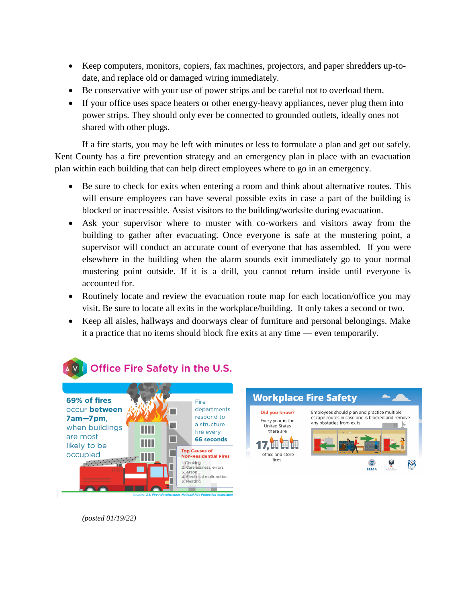- Keep computers, monitors, copiers, fax machines, projectors, and paper shredders up-todate, and replace old or damaged wiring immediately.
- Be conservative with your use of power strips and be careful not to overload them.
- If your office uses space heaters or other energy-heavy appliances, never plug them into power strips. They should only ever be connected to grounded outlets, ideally ones not shared with other plugs.

If a fire starts, you may be left with minutes or less to formulate a plan and get out safely. Kent County has a fire prevention strategy and an emergency plan in place with an evacuation plan within each building that can help direct employees where to go in an emergency.

- Be sure to check for exits when entering a room and think about alternative routes. This will ensure employees can have several possible exits in case a part of the building is blocked or inaccessible. Assist visitors to the building/worksite during evacuation.
- Ask your supervisor where to muster with co-workers and visitors away from the building to gather after evacuating. Once everyone is safe at the mustering point, a supervisor will conduct an accurate count of everyone that has assembled. If you were elsewhere in the building when the alarm sounds exit immediately go to your normal mustering point outside. If it is a drill, you cannot return inside until everyone is accounted for.
- Routinely locate and review the evacuation route map for each location/office you may visit. Be sure to locate all exits in the workplace/building. It only takes a second or two.
- Keep all aisles, hallways and doorways clear of furniture and personal belongings. Make it a practice that no items should block fire exits at any time — even temporarily.





*(posted 01/19/22)*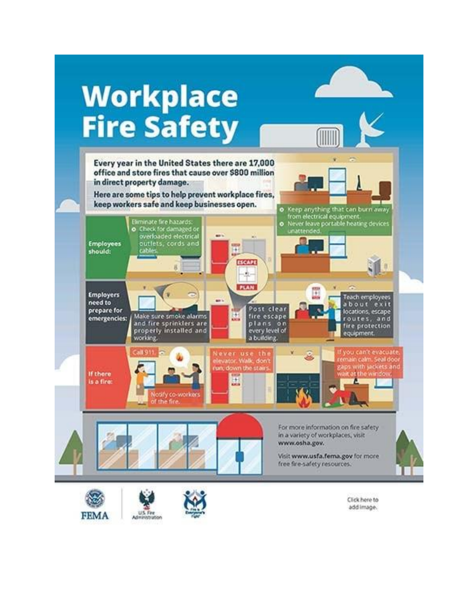

Click here to add image.

**FEMA** 

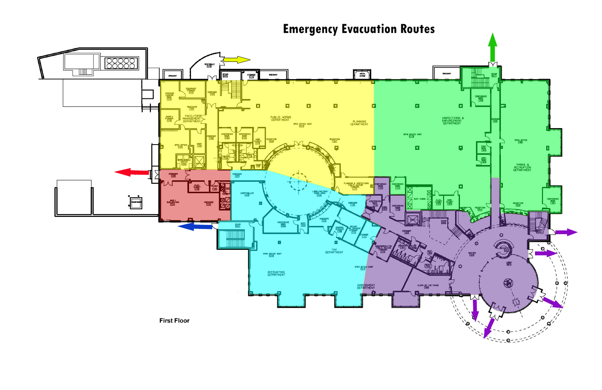## **Emergency Evacuation Routes**